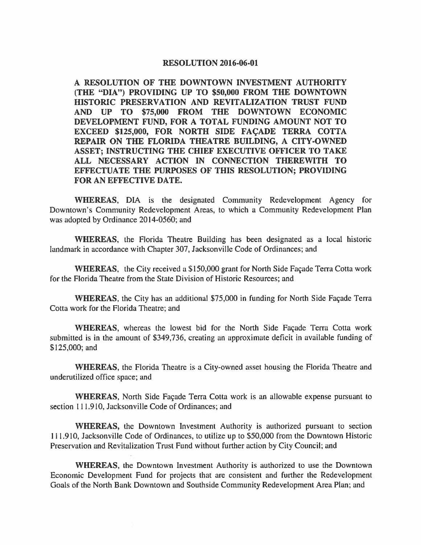## **RESOLUTION 2016-06-01**

**A RESOLUTION OF THE DOWNTOWN INVESTMENT AUTHORITY (THE "DIA") PROVIDING UP TO \$50,000 FROM THE DOWNTOWN HISTORIC PRESERVATION AND REVITALIZATION TRUST FUND AND UP TO \$75,000 FROM THE DOWNTOWN ECONOMIC DEVELOPMENT FUND, FOR A TOTAL FUNDING AMOUNT NOT TO**  EXCEED \$125,000, FOR NORTH SIDE FACADE TERRA COTTA **REPAIR ON THE FLORIDA THEATRE BUILDING, A CITY-OWNED ASSET; INSTRUCTING THE CHIEF EXECUTIVE OFFICER TO TAKE ALL NECESSARY ACTION IN CONNECTION THEREWITH TO EFFECTUATE THE PURPOSES OF THIS RESOLUTION; PROVIDING FOR AN EFFECTIVE DATE.** 

**WHEREAS,** DIA is the designated Community Redevelopment Agency for Downtown's Community Redevelopment Areas, to which a Community Redevelopment Plan was adopted by Ordinance 2014-0560; and

**WHEREAS,** the Florida Theatre Building has been designated as a local historic landmark in accordance with Chapter 307, Jacksonville Code of Ordinances; and

**WHEREAS,** the City received a \$150,000 grant for North Side Façade Terra Cotta work for the Florida Theatre from the State Division of Historic Resources; and

**WHEREAS, the City has an additional \$75,000 in funding for North Side Façade Terra** Cotta work for the Florida Theatre; and

**WHEREAS,** whereas the lowest bid for the North Side Façade Terra Cotta work submitted is in the amount of \$349,736, creating an approximate deficit in available funding of \$125,000; and

**WHEREAS,** the Florida Theatre is a City-owned asset housing the Florida Theatre and underutilized office space; and

WHEREAS, North Side Façade Terra Cotta work is an allowable expense pursuant to section 111.910, Jacksonville Code of Ordinances; and

**WHEREAS,** the Downtown Investment Authority is authorized pursuant to section 111. 910, Jacksonville Code of Ordinances, to utilize up to \$50,000 from the Downtown Historic Preservation and Revitalization Trust Fund without further action by City Council; and

**WHEREAS,** the Downtown Investment Authority is authorized to use the Downtown Economic Development Fund for projects that are consistent and further the Redevelopment Goals of the North Bank Downtown and Southside Community Redevelopment Area Plan; and